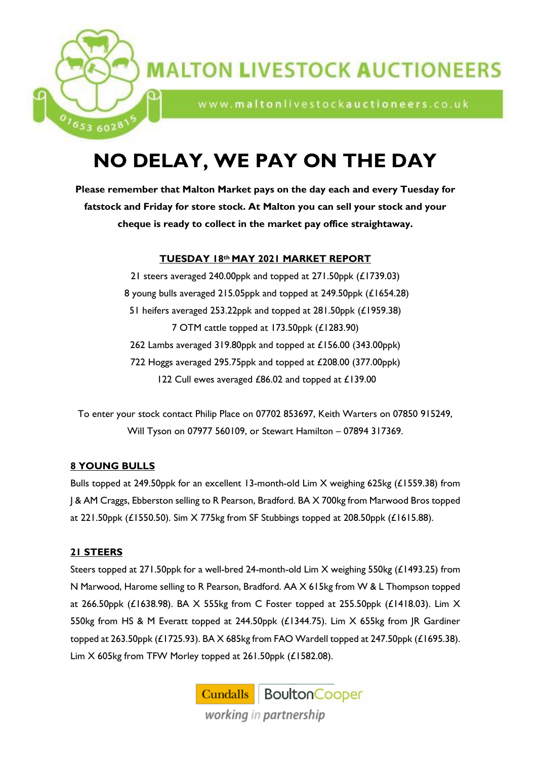

www.maltonlivestockauctioneers.co.uk

# **NO DELAY, WE PAY ON THE DAY**

**Please remember that Malton Market pays on the day each and every Tuesday for fatstock and Friday for store stock. At Malton you can sell your stock and your cheque is ready to collect in the market pay office straightaway.**

## **TUESDAY 18th MAY 2021 MARKET REPORT**

 steers averaged 240.00ppk and topped at 271.50ppk (£1739.03) young bulls averaged 215.05ppk and topped at 249.50ppk (£1654.28) heifers averaged 253.22ppk and topped at 281.50ppk (£1959.38) OTM cattle topped at 173.50ppk (£1283.90) 262 Lambs averaged 319.80ppk and topped at £156.00 (343.00ppk) Hoggs averaged 295.75ppk and topped at £208.00 (377.00ppk) 122 Cull ewes averaged £86.02 and topped at £139.00

To enter your stock contact Philip Place on 07702 853697, Keith Warters on 07850 915249, Will Tyson on 07977 560109, or Stewart Hamilton – 07894 317369.

# **8 YOUNG BULLS**

<sup>7653</sup>6028

Bulls topped at 249.50ppk for an excellent 13-month-old Lim X weighing 625kg (£1559.38) from J & AM Craggs, Ebberston selling to R Pearson, Bradford. BA X 700kg from Marwood Bros topped at 221.50ppk (£1550.50). Sim X 775kg from SF Stubbings topped at 208.50ppk (£1615.88).

## **21 STEERS**

Steers topped at 271.50ppk for a well-bred 24-month-old Lim X weighing 550kg (£1493.25) from N Marwood, Harome selling to R Pearson, Bradford. AA X 615kg from W & L Thompson topped at 266.50ppk (£1638.98). BA X 555kg from C Foster topped at 255.50ppk (£1418.03). Lim X 550kg from HS & M Everatt topped at 244.50ppk (£1344.75). Lim X 655kg from JR Gardiner topped at 263.50ppk (£1725.93). BA X 685kg from FAO Wardell topped at 247.50ppk (£1695.38). Lim X 605kg from TFW Morley topped at 261.50ppk (£1582.08).

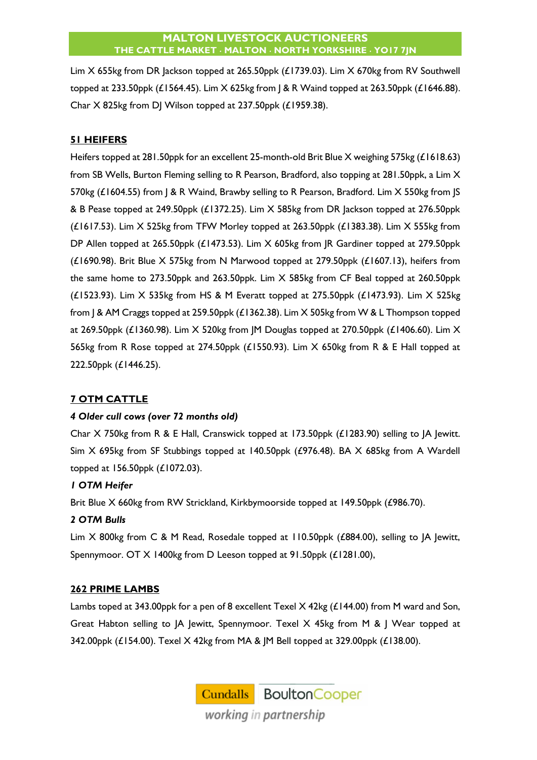Lim X 655kg from DR Jackson topped at 265.50ppk (£1739.03). Lim X 670kg from RV Southwell topped at 233.50ppk (£1564.45). Lim X 625kg from J & R Waind topped at 263.50ppk (£1646.88). Char X 825kg from DJ Wilson topped at 237.50ppk (£1959.38).

# **51 HEIFERS**

Heifers topped at 281.50ppk for an excellent 25-month-old Brit Blue X weighing 575kg (£1618.63) from SB Wells, Burton Fleming selling to R Pearson, Bradford, also topping at 281.50ppk, a Lim X 570kg (£1604.55) from | & R Waind, Brawby selling to R Pearson, Bradford. Lim X 550kg from | S & B Pease topped at 249.50ppk (£1372.25). Lim X 585kg from DR Jackson topped at 276.50ppk (£1617.53). Lim X 525kg from TFW Morley topped at 263.50ppk (£1383.38). Lim X 555kg from DP Allen topped at 265.50ppk (£1473.53). Lim X 605kg from JR Gardiner topped at 279.50ppk (£1690.98). Brit Blue X 575kg from N Marwood topped at 279.50ppk (£1607.13), heifers from the same home to 273.50ppk and 263.50ppk. Lim X 585kg from CF Beal topped at 260.50ppk (£1523.93). Lim  $X$  535kg from HS & M Everatt topped at 275.50ppk (£1473.93). Lim  $X$  525kg from J & AM Craggs topped at 259.50ppk (£1362.38). Lim X 505kg from W & L Thompson topped at 269.50ppk (£1360.98). Lim X 520kg from JM Douglas topped at 270.50ppk (£1406.60). Lim X 565kg from R Rose topped at 274.50ppk (£1550.93). Lim X 650kg from R & E Hall topped at 222.50ppk (£1446.25).

## **7 OTM CATTLE**

## *4 Older cull cows (over 72 months old)*

Char X 750kg from R & E Hall, Cranswick topped at 173.50ppk (£1283.90) selling to JA Jewitt. Sim X 695kg from SF Stubbings topped at 140.50ppk (£976.48). BA X 685kg from A Wardell topped at 156.50ppk (£1072.03).

## *1 OTM Heifer*

Brit Blue X 660kg from RW Strickland, Kirkbymoorside topped at 149.50ppk (£986.70).

## *2 OTM Bulls*

Lim X 800kg from C & M Read, Rosedale topped at 110.50ppk (£884.00), selling to JA Jewitt, Spennymoor. OT X 1400kg from D Leeson topped at 91.50ppk (£1281.00),

## **262 PRIME LAMBS**

Lambs toped at 343.00ppk for a pen of 8 excellent Texel X 42kg (£144.00) from M ward and Son, Great Habton selling to JA Jewitt, Spennymoor. Texel X 45kg from M & J Wear topped at 342.00ppk (£154.00). Texel X 42kg from MA & JM Bell topped at 329.00ppk (£138.00).

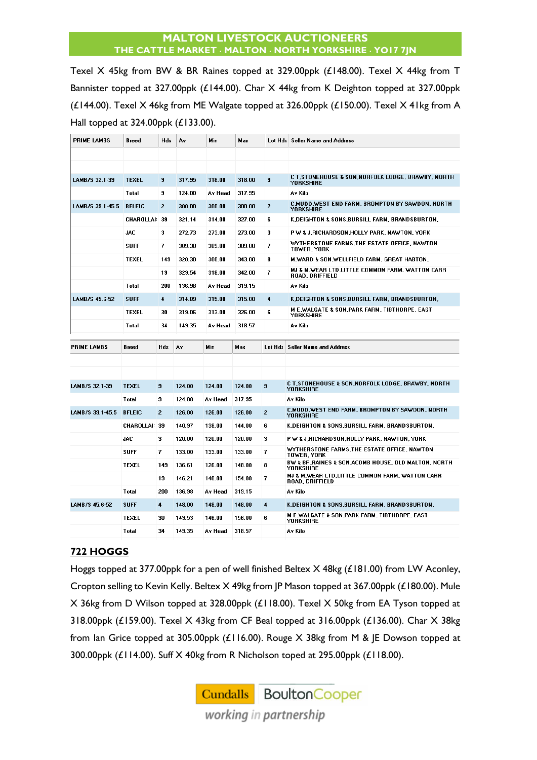Texel X 45kg from BW & BR Raines topped at 329.00ppk (£148.00). Texel X 44kg from T Bannister topped at 327.00ppk (£144.00). Char X 44kg from K Deighton topped at 327.00ppk (£144.00). Texel X 46kg from ME Walgate topped at 326.00ppk (£150.00). Texel X 41kg from A Hall topped at 324.00ppk (£133.00).

| PRIME LAMBS        | Breed             | Hds                     | A۷     | Min     | Max    | Lot Hds              | <b>Seller Name and Address</b>                                               |
|--------------------|-------------------|-------------------------|--------|---------|--------|----------------------|------------------------------------------------------------------------------|
|                    |                   |                         |        |         |        |                      |                                                                              |
|                    |                   |                         |        |         |        |                      |                                                                              |
| LAMB/S 32.1-39     | <b>TEXEL</b>      | 9                       | 317.95 | 318.00  | 318.00 | 9                    | C T.STONEHOUSE & SON.NORFOLK LODGE. BRAWBY. NORTH<br><b>YORKSHIRE</b>        |
|                    | Total             | 9                       | 124.00 | Av Head | 317.95 |                      | Av Kilo                                                                      |
| LAMB/S 39.1-45.5   | <b>BFLEIC</b>     | $\overline{2}$          | 300.00 | 300.00  | 300.00 | $\overline{2}$       | C,MUDD,WEST END FARM, BROMPTON BY SAWDON, NORTH<br><b>YORKSHIRE</b>          |
|                    | <b>CHAROLLAI:</b> | 39                      | 321.14 | 314.00  | 327.00 | 6                    | K, DEIGHTON & SONS, BURSILL FARM, BRANDSBURTON,                              |
|                    | JAC               | 3                       | 272.73 | 273.00  | 273.00 | 3                    | P W & J,RICHARDSON,HOLLY PARK, NAWTON, YORK                                  |
|                    | <b>SUFF</b>       | 7                       | 309.30 | 309.00  | 309.00 | 7                    | WYTHERSTONE FARMS, THE ESTATE OFFICE, NAWTON<br>TOWER, YORK                  |
|                    | <b>TEXEL</b>      | 149                     | 320.30 | 300.00  | 343.00 | 8                    | M, WARD & SON, WELLFIELD FARM, GREAT HABTON,                                 |
|                    |                   | 19                      | 329.54 | 318.00  | 342.00 | 7                    | MJ & M,WEAR LTD,LITTLE COMMON FARM, WATTON CARR<br><b>ROAD. DRIFFIELD</b>    |
|                    | Total             | 200                     | 136.98 | Av Head | 319.15 |                      | Av Kilo                                                                      |
| LAMB/S 45.6-52     | <b>SUFF</b>       | 4                       | 314.89 | 315.00  | 315.00 | $\ddot{\phantom{1}}$ | K, DEIGHTON & SONS, BURSILL FARM, BRANDSBURTON,                              |
|                    | TEXEL             | 30                      | 319.06 | 313.00  | 326.00 | 6                    | <b>ME, WALGATE &amp; SON, PARK FARM, TIBTHORPE, EAST</b><br><b>YORKSHIRE</b> |
|                    | Total             | 34                      | 149.35 | Av Head | 318.57 |                      | Av Kilo                                                                      |
| <b>PRIME LAMBS</b> | <b>Breed</b>      | Hds                     | A۷     | Min     | Max    | Lot Hds              | <b>Seller Name and Address</b>                                               |
|                    |                   |                         |        |         |        |                      |                                                                              |
|                    |                   |                         |        |         |        |                      |                                                                              |
|                    |                   |                         |        |         |        |                      |                                                                              |
|                    |                   |                         |        |         |        |                      |                                                                              |
| LAMB/S 32.1-39     | <b>TEXEL</b>      | 9                       | 124.00 | 124.00  | 124.00 | 9                    | C T,STONEHOUSE & SON,NORFOLK LODGE, BRAWBY, NORTH<br><b>YORKSHIRE</b>        |
|                    | Total             | 9                       | 124.00 | Av Head | 317.95 |                      | Av Kilo                                                                      |
| LAMB/S 39.1-45.5   | <b>BFLEIC</b>     | $\overline{2}$          | 126.00 | 126.00  | 126.00 | $\overline{2}$       | C,MUDD, WEST END FARM, BROMPTON BY SAWDON, NORTH<br><b>YORKSHIRE</b>         |
|                    | CHAROLLAI: 39     |                         | 140.97 | 138.00  | 144.00 | 6                    | K,DEIGHTON & SONS,BURSILL FARM, BRANDSBURTON,                                |
|                    | <b>JAC</b>        | 3                       | 120.00 | 120.00  | 120.00 | 3                    | P W & J,RICHARDSON,HOLLY PARK, NAWTON, YORK                                  |
|                    | SUFF              | 7                       | 133.00 | 133.00  | 133.00 | 7                    | WYTHERSTONE FARMS,THE ESTATE OFFICE, NAWTON<br>TOWER, YORK                   |
|                    | TEXEL             | 149                     | 136.61 | 126.00  | 148.00 | 8                    | BW & BR, RAINES & SON, ACOMB HOUSE, OLD MALTON, NORTH<br>YORKSHIRE           |
|                    |                   | 19                      | 146.21 | 140.00  | 154.00 | 7                    | MJ & M,WEAR LTD,LITTLE COMMON FARM, WATTON CARR<br><b>ROAD, DRIFFIELD</b>    |
|                    | Total             | 200                     | 136.98 | Av Head | 319.15 |                      | Av Kilo                                                                      |
| LAMB/S 45.6-52     | <b>SUFF</b>       | $\overline{\mathbf{4}}$ | 148.00 | 148.00  | 148.00 | 4                    | K,DEIGHTON & SONS,BURSILL FARM, BRANDSBURTON,                                |
|                    | <b>TEXEL</b>      | 30                      | 149.53 | 146.00  | 156.00 | 6                    | <b>M E,WALGATE &amp; SON,PARK FARM, TIBTHORPE, EAST</b><br>YORKSHIRE         |

# **722 HOGGS**

Hoggs topped at 377.00ppk for a pen of well finished Beltex X 48kg (£181.00) from LW Aconley, Cropton selling to Kevin Kelly. Beltex X 49kg from JP Mason topped at 367.00ppk (£180.00). Mule X 36kg from D Wilson topped at 328.00ppk (£118.00). Texel X 50kg from EA Tyson topped at 318.00ppk (£159.00). Texel X 43kg from CF Beal topped at 316.00ppk (£136.00). Char X 38kg from Ian Grice topped at 305.00ppk (£116.00). Rouge X 38kg from M & JE Dowson topped at 300.00ppk (£114.00). Suff X 40kg from R Nicholson toped at 295.00ppk (£118.00).

> **Cundalls** Boulton Cooper working in partnership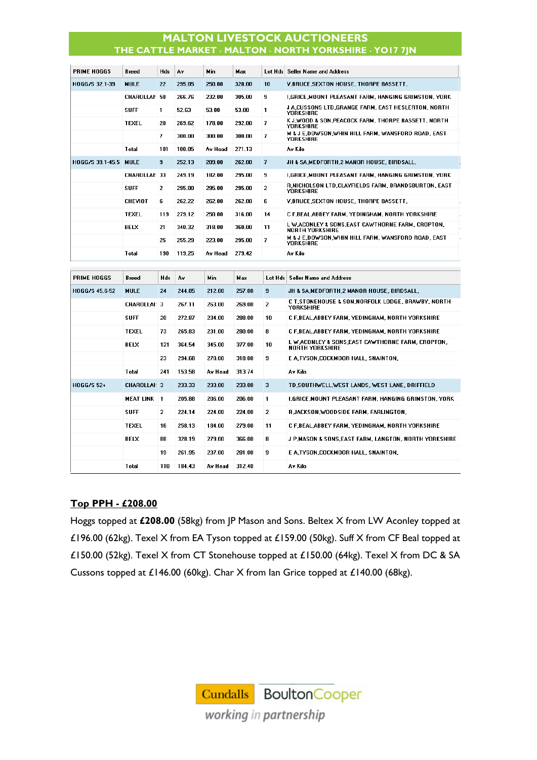| PRIME HOGGS        | Breed              | Hds            | Av     | Min        | Max    |                         | Lot Hds Seller Name and Address                                             |
|--------------------|--------------------|----------------|--------|------------|--------|-------------------------|-----------------------------------------------------------------------------|
| HOGG/S 32.1-39     | <b>MULE</b>        | 22             | 295.05 | 250.00     | 328.00 | 10                      | <b>V.BRUCE, SEXTON HOUSE, THORPE BASSETT,</b>                               |
|                    | CHAROLLAI: 58      |                | 266.76 | 232.00     | 305.00 | 9                       | I,GRICE,MOUNT PLEASANT FARM, HANGING GRIMSTON, YORK                         |
|                    | <b>SUFF</b>        | 1              | 52.63  | 53.00      | 53.00  | 1                       | J A,CUSSONS LTD,GRANGE FARM, EAST HESLERTON, NORTH<br><b>YORKSHIRE</b>      |
|                    | <b>TEXEL</b>       | 20             | 269.62 | 178.00     | 292.00 | $\overline{ }$          | K J,WOOD & SON,PEACOCK FARM, THORPE BASSETT, NORTH<br>YORKSHIRE             |
|                    |                    | 7              | 300.00 | 300.00     | 300.00 | 7                       | M & J E,DOWSON,WHIN HILL FARM, WANSFORD ROAD, EAST<br><b>YORKSHIRE</b>      |
|                    | Total              | 101            | 100.05 | Av Head    | 271.13 |                         | Av Kilo                                                                     |
| HOGG/S 39.1-45.5   | <b>MULE</b>        | $\overline{9}$ | 252.13 | 209.00     | 262.00 | $\overline{\mathbf{r}}$ | JH & SA, MEDFORTH, 2 MANOR HOUSE, BIRDSALL,                                 |
|                    | CHAROLLAI: 33      |                | 249.19 | 182.00     | 295.00 | 9                       | I,GRICE,MOUNT PLEASANT FARM, HANGING GRIMSTON, YORK                         |
|                    | <b>SUFF</b>        | $\overline{2}$ | 295.00 | 295.00     | 295.00 | $\overline{2}$          | R.NICHOLSON LTD.CLAYFIELDS FARM, BRANDSBURTON, EAST<br>YORKSHIRE            |
|                    | CHEVIOT            | 6              | 262.22 | 262.00     | 262.00 | 6                       | V,BRUCE, SEXTON HOUSE, THORPE BASSETT,                                      |
|                    | <b>TEXEL</b>       | 119            | 279.12 | 250.00     | 316.00 | 14                      | C F,BEAL,ABBEY FARM, YEDINGHAM, NORTH YORKSHIRE                             |
|                    | BELX               | 21             | 340.32 | 318.00     | 360.00 | 11                      | L W ACONLEY & SONS, EAST CAWTHORNE FARM, CROPTON,<br><b>NORTH YORKSHIRE</b> |
|                    |                    | 25             | 255.29 | 223.00     | 295.00 | 7                       | M & J E,DOWSON,WHIN HILL FARM, WANSFORD ROAD, EAST<br>YORKSHIRE             |
|                    | Total              | 190            | 119.25 | Av Head    | 279.42 |                         | Av Kilo                                                                     |
|                    |                    |                |        |            |        |                         |                                                                             |
|                    |                    |                |        |            |        |                         |                                                                             |
| <b>PRIME HOGGS</b> | Breed              | Hds            | A٧     | <b>Min</b> | Max    |                         | Lot Hds   Seller Name and Address                                           |
| HOGG/S 45.6-52     | <b>MULE</b>        | 24             | 244.85 | 212.00     | 257.00 | 9                       | JH & SA.MEDFORTH.2 MANOR HOUSE. BIRDSALL.                                   |
|                    | CHAROLLAI: 3       |                | 267.11 | 263.00     | 269.00 | $\overline{2}$          | C T,STONEHOUSE & SON,NORFOLK LODGE, BRAWBY, NORTH<br>YORKSHIRE              |
|                    | <b>SUFF</b>        | 20             | 272.87 | 234.00     | 288.00 | 10                      | C F,BEAL ABBEY FARM, YEDINGHAM, NORTH YORKSHIRE                             |
|                    | <b>TEXEL</b>       | 73             | 265.83 | 231.00     | 280.00 | 8                       | C F,BEAL,ABBEY FARM, YEDINGHAM, NORTH YORKSHIRE                             |
|                    | BELX               | 121            | 364.54 | 345.00     | 377.00 | 10                      | L W ACONLEY & SONS,EAST CAWTHORNE FARM, CROPTON,<br><b>NORTH YORKSHIRE</b>  |
|                    |                    | 23             | 294.68 | 270.00     | 318.00 | 9                       | E A,TYSON,COCKMOOR HALL, SNAINTON,                                          |
|                    | Total              | 241            | 153.58 | Av Head    | 313.74 |                         | Av Kilo                                                                     |
| HOGG/S 52+         | CHAROLLAI: 3       |                | 233.33 | 233.00     | 233.00 | 3                       | TD,SOUTHWELL,WEST LANDS, WEST LANE, DRIFFIELD                               |
|                    | <b>MEAT LINK 1</b> |                | 205.88 | 206.00     | 206.00 | $\mathbf{1}$            | I,GRICE,MOUNT PLEASANT FARM, HANGING GRIMSTON, YORK                         |
|                    | <b>SUFF</b>        | 2              | 224.14 | 224.00     | 224.00 | 2                       | R,JACKSON,WOODSIDE FARM, FARLINGTON,                                        |
|                    | <b>TEXEL</b>       | 16             | 258.13 | 184.00     | 279.00 | 11                      | C F,BEAL,ABBEY FARM, YEDINGHAM, NORTH YORKSHIRE                             |
|                    | BELX               | 88             | 328.19 | 279.00     | 366.00 | 8                       | J P,MASON & SONS,EAST FARM, LANGTON, NORTH YORKSHIRE                        |
|                    |                    | 19             | 261.95 | 237.00     | 281.00 | 9                       | E A.TYSON.COCKMOOR HALL. SNAINTON.                                          |

## **Top PPH - £208.00**

Hoggs topped at **£208.00** (58kg) from JP Mason and Sons. Beltex X from LW Aconley topped at £196.00 (62kg). Texel X from EA Tyson topped at £159.00 (50kg). Suff X from CF Beal topped at £150.00 (52kg). Texel X from CT Stonehouse topped at £150.00 (64kg). Texel X from DC & SA Cussons topped at £146.00 (60kg). Char X from Ian Grice topped at £140.00 (68kg).

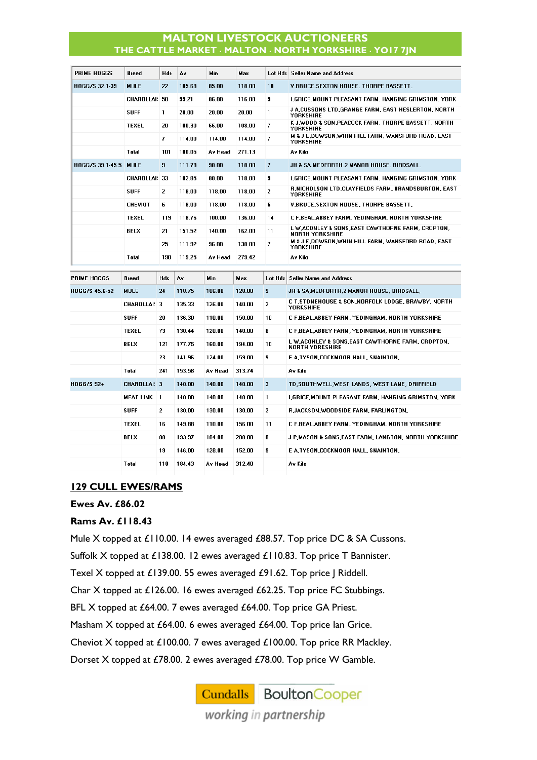| PRIME HOGGS      | <b>Breed</b>       | Hds            | A٧     | <b>Min</b> | Max    |                | Lot Hds Seller Name and Address                                             |
|------------------|--------------------|----------------|--------|------------|--------|----------------|-----------------------------------------------------------------------------|
| HOGG/S 32.1-39   | <b>MULE</b>        | 22             | 105.68 | 85.00      | 118.00 | 10             | V, BRUCE, SEXTON HOUSE, THORPE BASSETT,                                     |
|                  | CHAROLLAI: 58      |                | 99.21  | 86.00      | 116.00 | 9              | I,GRICE,MOUNT PLEASANT FARM, HANGING GRIMSTON, YORK                         |
|                  | <b>SUFF</b>        | 1              | 20.00  | 20.00      | 20.00  | $\mathbf{1}$   | J A,CUSSONS LTD,GRANGE FARM, EAST HESLERTON, NORTH<br><b>YORKSHIRE</b>      |
|                  | TEXEL              | 20             | 100.30 | 66.00      | 108.00 | 7              | K J,WOOD & SON,PEACOCK FARM, THORPE BASSETT, NORTH<br><b>YORKSHIRE</b>      |
|                  |                    | 7              | 114.00 | 114.00     | 114.00 | 7              | M & J E,DOWSON,WHIN HILL FARM, WANSFORD ROAD, EAST<br><b>YORKSHIRE</b>      |
|                  | Total              | 101            | 100.05 | Av Head    | 271.13 |                | Av Kilo                                                                     |
| HOGG/S 39.1-45.5 | <b>MULE</b>        | 9              | 111.78 | 90.00      | 118.00 | $\overline{7}$ | JH & SA.MEDFORTH.2 MANOR HOUSE. BIRDSALL.                                   |
|                  | CHAROLLAI: 33      |                | 102.85 | 80.00      | 118.00 | 9              | I,GRICE,MOUNT PLEASANT FARM, HANGING GRIMSTON, YORK                         |
|                  | <b>SUFF</b>        | $\overline{2}$ | 118.00 | 118.00     | 118.00 | 2              | R, NICHOLSON LTD, CLAYFIELDS FARM, BRANDSBURTON, EAST<br><b>YORKSHIRE</b>   |
|                  | <b>CHEVIOT</b>     | 6              | 118.00 | 118.00     | 118.00 | 6              | <b>V.BRUCE.SEXTON HOUSE. THORPE BASSETT.</b>                                |
|                  | <b>TEXEL</b>       | 119            | 118.76 | 100.00     | 136.00 | 14             | C F.BEAL ABBEY FARM, YEDINGHAM, NORTH YORKSHIRE                             |
|                  | <b>BELX</b>        | 21             | 151.52 | 140.00     | 162.00 | 11             | L W ACONLEY & SONS, EAST CAWTHORNE FARM, CROPTON,<br><b>NORTH YORKSHIRE</b> |
|                  |                    | 25             | 111.92 | 96.00      | 130.00 | 7              | M & J E.DOWSON.WHIN HILL FARM, WANSFORD ROAD, EAST<br><b>YORKSHIRE</b>      |
|                  | Total              | 190            | 119.25 | Av Head    | 279.42 |                | Av Kilo                                                                     |
|                  |                    |                |        |            |        |                |                                                                             |
| PRIME HOGGS      | Breed              | Hds            | Á٧     | Min        | Max    | Lot Hds        | Seller Name and Address                                                     |
| HOGG/S 45.6-52   | <b>MULE</b>        | 24             | 118.75 | 106.00     | 128.00 | 9              | JH & SA,MEDFORTH,2 MANOR HOUSE, BIRDSALL,                                   |
|                  | CHAROLLAI: 3       |                | 135.33 | 126.00     | 140.00 | $\overline{2}$ | C T.STONEHOUSE & SON, NORFOLK LODGE, BRAWBY, NORTH<br><b>YORKSHIRE</b>      |
|                  | <b>SUFF</b>        | 20             | 136.30 | 110.00     | 150.00 | 10             | C F,BEAL,ABBEY FARM, YEDINGHAM, NORTH YORKSHIRE                             |
|                  | <b>TEXEL</b>       | 73             | 130.44 | 120.00     | 140.00 | 8              | C F,BEAL,ABBEY FARM, YEDINGHAM, NORTH YORKSHIRE                             |
|                  | <b>BELX</b>        | 121            | 177.75 | 160.00     | 194.00 | 10             | L W ACONLEY & SONS, EAST CAWTHORNE FARM, CROPTON,<br><b>NORTH YORKSHIRE</b> |
|                  |                    | 23             | 141.96 | 124.00     | 159.00 | 9              | E A,TYSON,COCKMOOR HALL, SNAINTON,                                          |
|                  | Total              | 241            | 153.58 | Av Head    | 313.74 |                | Av Kilo                                                                     |
| HOGG/S 52+       | CHAROLLAI: 3       |                | 140.00 | 140.00     | 140.00 | 3              | TD, SOUTHWELL, WEST LANDS, WEST LANE, DRIFFIELD                             |
|                  | <b>MEAT LINK 1</b> |                | 140.00 | 140.00     | 140.00 | 1              | I,GRICE,MOUNT PLEASANT FARM, HANGING GRIMSTON, YORK                         |
|                  | <b>SUFF</b>        | $\overline{2}$ | 130.00 | 130.00     | 130.00 | $\overline{2}$ | RJACKSON, WOODSIDE FARM, FARLINGTON,                                        |
|                  | <b>TEXEL</b>       | 16             | 149.88 | 110.00     | 156.00 | 11             | C F.BEAL ABBEY FARM, YEDINGHAM, NORTH YORKSHIRE                             |
|                  | <b>BELX</b>        | 88             | 193.97 | 184.00     | 208.00 | 8              | J P,MASON & SONS,EAST FARM, LANGTON, NORTH YORKSHIRE                        |
|                  |                    | 19             | 146.00 | 128.00     | 152.00 | 9              | E A,TYSON,COCKMOOR HALL, SNAINTON,                                          |

#### **129 CULL EWES/RAMS**

#### **Ewes Av. £86.02**

#### **Rams Av. £118.43**

Mule X topped at £110.00. 14 ewes averaged £88.57. Top price DC & SA Cussons. Suffolk X topped at £138.00. 12 ewes averaged £110.83. Top price T Bannister. Texel X topped at £139.00. 55 ewes averaged £91.62. Top price J Riddell. Char X topped at £126.00. 16 ewes averaged £62.25. Top price FC Stubbings. BFL X topped at £64.00. 7 ewes averaged £64.00. Top price GA Priest. Masham X topped at £64.00. 6 ewes averaged £64.00. Top price Ian Grice. Cheviot X topped at £100.00. 7 ewes averaged £100.00. Top price RR Mackley. Dorset X topped at £78.00. 2 ewes averaged £78.00. Top price W Gamble.

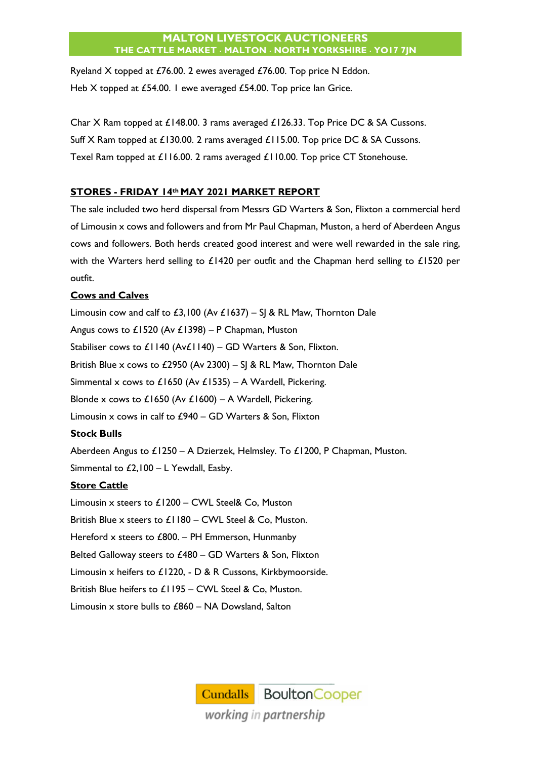Ryeland X topped at £76.00. 2 ewes averaged £76.00. Top price N Eddon. Heb X topped at £54.00. I ewe averaged £54.00. Top price lan Grice.

Char X Ram topped at £148.00. 3 rams averaged £126.33. Top Price DC & SA Cussons. Suff X Ram topped at £130.00. 2 rams averaged £115.00. Top price DC & SA Cussons. Texel Ram topped at £116.00. 2 rams averaged £110.00. Top price CT Stonehouse.

# **STORES - FRIDAY 14th MAY 2021 MARKET REPORT**

The sale included two herd dispersal from Messrs GD Warters & Son, Flixton a commercial herd of Limousin x cows and followers and from Mr Paul Chapman, Muston, a herd of Aberdeen Angus cows and followers. Both herds created good interest and were well rewarded in the sale ring, with the Warters herd selling to £1420 per outfit and the Chapman herd selling to £1520 per outfit.

## **Cows and Calves**

Limousin cow and calf to £3,100 (Av £1637) – SJ & RL Maw, Thornton Dale Angus cows to £1520 (Av £1398) – P Chapman, Muston Stabiliser cows to £1140 (Av£1140) – GD Warters & Son, Flixton. British Blue x cows to £2950 (Av 2300) – SJ & RL Maw, Thornton Dale Simmental x cows to £1650 (Av £1535) – A Wardell, Pickering. Blonde x cows to £1650 (Av £1600) – A Wardell, Pickering. Limousin x cows in calf to £940 – GD Warters & Son, Flixton

# **Stock Bulls**

Aberdeen Angus to £1250 – A Dzierzek, Helmsley. To £1200, P Chapman, Muston. Simmental to  $£2,100 - L$  Yewdall, Easby.

# **Store Cattle**

Limousin x steers to £1200 – CWL Steel& Co, Muston British Blue x steers to £1180 – CWL Steel & Co, Muston. Hereford x steers to £800. – PH Emmerson, Hunmanby Belted Galloway steers to £480 – GD Warters & Son, Flixton Limousin x heifers to £1220, - D & R Cussons, Kirkbymoorside. British Blue heifers to £1195 – CWL Steel & Co, Muston. Limousin x store bulls to £860 – NA Dowsland, Salton

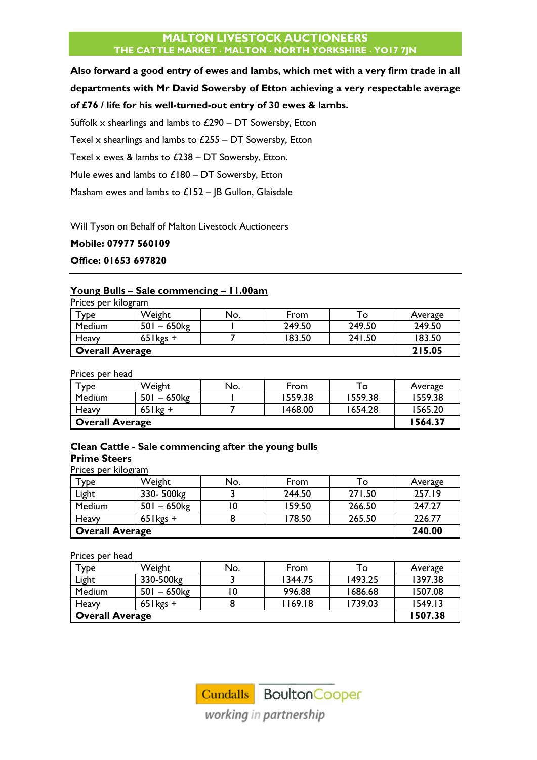**Also forward a good entry of ewes and lambs, which met with a very firm trade in all departments with Mr David Sowersby of Etton achieving a very respectable average of £76 / life for his well-turned-out entry of 30 ewes & lambs.** 

Suffolk  $x$  shearlings and lambs to  $£290 - DT$  Sowersby, Etton

Texel x shearlings and lambs to £255 – DT Sowersby, Etton

Texel x ewes & lambs to £238 – DT Sowersby, Etton.

Mule ewes and lambs to  $£180 – DT$  Sowersby, Etton

Masham ewes and lambs to  $£152 -$  JB Gullon, Glaisdale

Will Tyson on Behalf of Malton Livestock Auctioneers

#### **Mobile: 07977 560109**

**Office: 01653 697820**

#### **Young Bulls – Sale commencing – 11.00am**

| Prices per kilogram    |              |     |        |        |         |
|------------------------|--------------|-----|--------|--------|---------|
| Type                   | Weight       | No. | From   | To     | Average |
| Medium                 | $501 - 650$  |     | 249.50 | 249.50 | 249.50  |
| Heavy                  | $65$ l kgs + |     | 183.50 | 241.50 | 183.50  |
| <b>Overall Average</b> |              |     |        |        | 215.05  |

Prices per head

| $T$ ype                | Weight      | No. | From    | To:     | Average |
|------------------------|-------------|-----|---------|---------|---------|
| Medium                 | $501 - 650$ |     | 1559.38 | 1559.38 | 1559.38 |
| Heavy                  | $65$ kg +   |     | 1468.00 | 1654.28 | 1565.20 |
| <b>Overall Average</b> |             |     |         |         | 1564.37 |

## **Clean Cattle - Sale commencing after the young bulls Prime Steers**

Prices per kilogram

| Туре                   | Weight       | No. | From   | To     | Average |
|------------------------|--------------|-----|--------|--------|---------|
| Light                  | 330-500kg    |     | 244.50 | 271.50 | 257.19  |
| Medium                 | $501 - 650$  |     | 159.50 | 266.50 | 247.27  |
| Heavy                  | $65$ l kgs + |     | 178.50 | 265.50 | 226.77  |
| <b>Overall Average</b> |              |     |        |        | 240.00  |

#### Prices per head

| $\mathsf{r}_{\mathsf{Y}\mathsf{P}}$ е | Weight      | No. | From    | To      | Average |
|---------------------------------------|-------------|-----|---------|---------|---------|
| Light                                 | 330-500kg   |     | 1344.75 | 1493.25 | 1397.38 |
| <b>Medium</b>                         | $501 - 650$ |     | 996.88  | 1686.68 | 1507.08 |
| Heavy                                 | $65$ kgs +  |     | 1169.18 | 1739.03 | 1549.13 |
| <b>Overall Average</b>                |             |     |         |         | 1507.38 |

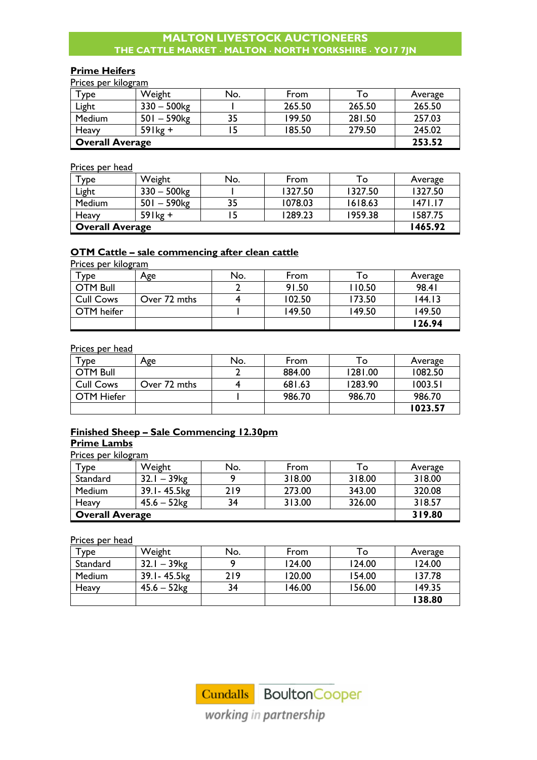# **Prime Heifers**

Prices per kilogram

| $\mathsf{v}_{\mathsf{p} \mathsf{e} \mathsf{p} \mathsf{p}$ | Weight                    | No. | From   | To     | Average |
|-----------------------------------------------------------|---------------------------|-----|--------|--------|---------|
| Light                                                     | $330 - 500$ kg            |     | 265.50 | 265.50 | 265.50  |
| Medium                                                    | $501 - 590$ <sub>kg</sub> | 35  | 199.50 | 281.50 | 257.03  |
| Heavy                                                     | $59$ lkg +                |     | 185.50 | 279.50 | 245.02  |
| <b>Overall Average</b>                                    |                           |     |        |        | 253.52  |

#### Prices per head

| Type                   | Weight         | No. | From    | To      | Average |
|------------------------|----------------|-----|---------|---------|---------|
| Light                  | $330 - 500$ kg |     | 1327.50 | 1327.50 | 1327.50 |
| Medium                 | $501 - 590$ kg | 35  | 1078.03 | 1618.63 | 1471.17 |
| Heavy                  | $59$ lkg +     |     | 1289.23 | 1959.38 | 1587.75 |
| <b>Overall Average</b> |                |     |         |         | 1465.92 |

# **OTM Cattle – sale commencing after clean cattle**

Prices per kilogram

| Туре             | Age          | No. | From   | Го     | Average |
|------------------|--------------|-----|--------|--------|---------|
| <b>OTM Bull</b>  |              |     | 91.50  | 110.50 | 98.41   |
| <b>Cull Cows</b> | Over 72 mths |     | 102.50 | 173.50 | 144.13  |
| OTM heifer       |              |     | 149.50 | 149.50 | 149.50  |
|                  |              |     |        |        | 126.94  |

#### Prices per head

| ∑уре             | Age          | No. | From   | To      | Average |
|------------------|--------------|-----|--------|---------|---------|
| <b>OTM Bull</b>  |              |     | 884.00 | 1281.00 | 1082.50 |
| <b>Cull Cows</b> | Over 72 mths |     | 681.63 | 1283.90 | 1003.51 |
| OTM Hiefer       |              |     | 986.70 | 986.70  | 986.70  |
|                  |              |     |        |         | 1023.57 |

# **Finished Sheep – Sale Commencing 12.30pm**

## **Prime Lambs**

Prices per kilogram

| Type                   | Weight                    | No. | From   | То     | Average |
|------------------------|---------------------------|-----|--------|--------|---------|
| Standard               | $32.1 - 39$ <sub>kg</sub> |     | 318.00 | 318.00 | 318.00  |
| Medium                 | 39.1 - 45.5 kg            | 219 | 273.00 | 343.00 | 320.08  |
| Heavy                  | $45.6 - 52$ kg            | 34  | 313.00 | 326.00 | 318.57  |
| <b>Overall Average</b> |                           |     |        |        | 319.80  |

Prices per head

| $\tau_{\text{ype}}$ | Weight         | No. | From   | To     | Average |
|---------------------|----------------|-----|--------|--------|---------|
| Standard            | $32.1 - 39$ kg |     | 124.00 | 124.00 | 124.00  |
| Medium              | 39.1 - 45.5 kg | 219 | 120.00 | 154.00 | 137.78  |
| Heavy               | $45.6 - 52$ kg | 34  | 146.00 | 156.00 | 149.35  |
|                     |                |     |        |        | 138.80  |



working in partnership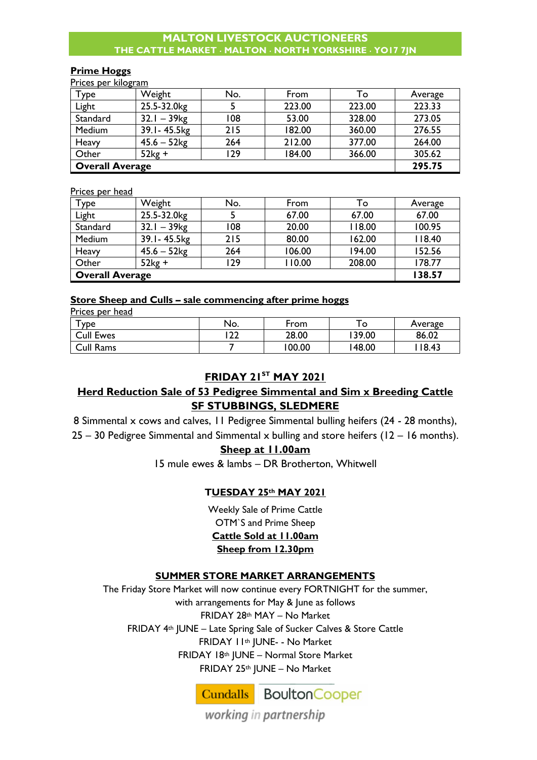#### **Prime Hoggs**

Prices per kilogram

| Type                   | Weight                    | No. | From   | To     | Average |
|------------------------|---------------------------|-----|--------|--------|---------|
| Light                  | 25.5-32.0kg               |     | 223.00 | 223.00 | 223.33  |
| Standard               | $32.1 - 39$ <sub>kg</sub> | 108 | 53.00  | 328.00 | 273.05  |
| Medium                 | 39.1-45.5kg               | 215 | 182.00 | 360.00 | 276.55  |
| Heavy                  | $45.6 - 52$ kg            | 264 | 212.00 | 377.00 | 264.00  |
| Other                  | $52kg +$                  | 129 | 184.00 | 366.00 | 305.62  |
| <b>Overall Average</b> |                           |     |        |        | 295.75  |

Prices per head

| <b>Type</b>            | Weight                    | No. | From   | To     | Average |
|------------------------|---------------------------|-----|--------|--------|---------|
| Light                  | 25.5-32.0kg               |     | 67.00  | 67.00  | 67.00   |
| Standard               | $32.1 - 39$ <sub>kg</sub> | 108 | 20.00  | 118.00 | 100.95  |
| Medium                 | 39.1-45.5kg               | 215 | 80.00  | 162.00 | 118.40  |
| Heavy                  | $45.6 - 52$ kg            | 264 | 106.00 | 194.00 | 152.56  |
| Other                  | $52kg +$                  | 129 | 110.00 | 208.00 | 178.77  |
| <b>Overall Average</b> |                           |     |        |        | 138.57  |

## **Store Sheep and Culls – sale commencing after prime hoggs**

Prices per head

| <b>YDE</b>       | No.        | From  | $\circ$ | Average |
|------------------|------------|-------|---------|---------|
| <b>Cull Ewes</b> | ר רו<br>∠∠ | 28.00 | 139.00  | 86.02   |
| Cull Rams        |            | 00.00 | 148.00  | 18.43   |

# **FRIDAY 21ST MAY 2021**

# **Herd Reduction Sale of 53 Pedigree Simmental and Sim x Breeding Cattle SF STUBBINGS, SLEDMERE**

8 Simmental x cows and calves, 11 Pedigree Simmental bulling heifers (24 - 28 months), 25 – 30 Pedigree Simmental and Simmental x bulling and store heifers (12 – 16 months).

# **Sheep at 11.00am**

15 mule ewes & lambs – DR Brotherton, Whitwell

## **TUESDAY 25th MAY 2021**

Weekly Sale of Prime Cattle OTM`S and Prime Sheep **Cattle Sold at 11.00am Sheep from 12.30pm**

# **SUMMER STORE MARKET ARRANGEMENTS**

The Friday Store Market will now continue every FORTNIGHT for the summer, with arrangements for May & June as follows FRIDAY 28th MAY – No Market FRIDAY 4th JUNE – Late Spring Sale of Sucker Calves & Store Cattle FRIDAY 11th JUNE- - No Market FRIDAY 18th JUNE – Normal Store Market FRIDAY 25th JUNE – No Market



working in partnership